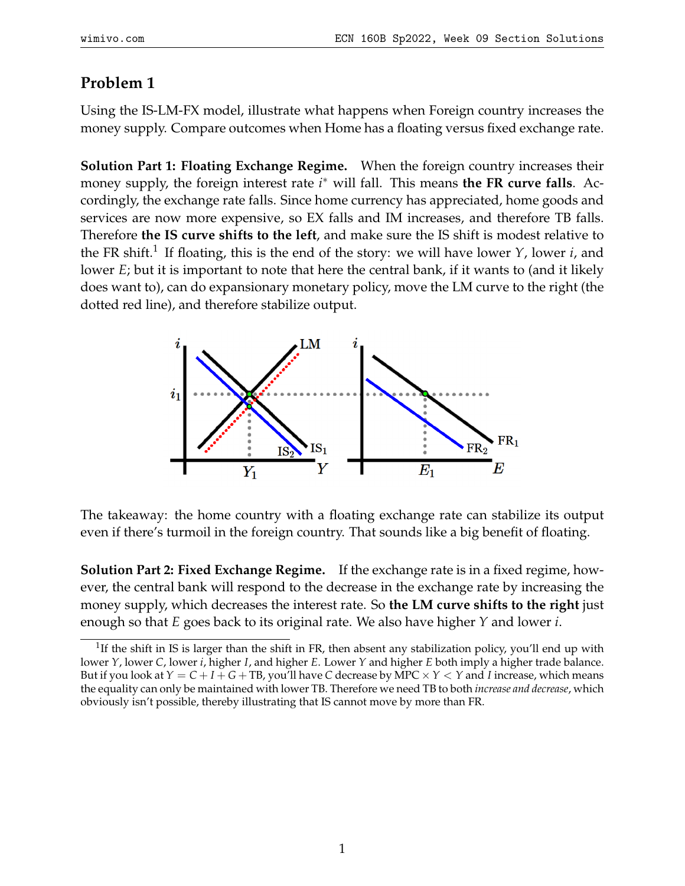## **Problem 1**

Using the IS-LM-FX model, illustrate what happens when Foreign country increases the money supply. Compare outcomes when Home has a floating versus fixed exchange rate.

**Solution Part 1: Floating Exchange Regime.** When the foreign country increases their money supply, the foreign interest rate *i*<sup>∗</sup> will fall. This means the FR curve falls. Accordingly, the exchange rate falls. Since home currency has appreciated, home goods and services are now more expensive, so EX falls and IM increases, and therefore TB falls. Therefore **the IS curve shifts to the left**, and make sure the IS shift is modest relative to the FR shift.<sup>[1](#page-0-0)</sup> If floating, this is the end of the story: we will have lower *Y*, lower *i*, and lower *E*; but it is important to note that here the central bank, if it wants to (and it likely does want to), can do expansionary monetary policy, move the LM curve to the right (the dotted red line), and therefore stabilize output.



The takeaway: the home country with a floating exchange rate can stabilize its output even if there's turmoil in the foreign country. That sounds like a big benefit of floating.

**Solution Part 2: Fixed Exchange Regime.** If the exchange rate is in a fixed regime, however, the central bank will respond to the decrease in the exchange rate by increasing the money supply, which decreases the interest rate. So **the LM curve shifts to the right** just enough so that *E* goes back to its original rate. We also have higher *Y* and lower *i*.

<span id="page-0-0"></span><sup>&</sup>lt;sup>1</sup>If the shift in IS is larger than the shift in FR, then absent any stabilization policy, you'll end up with lower *Y*, lower *C*, lower *i*, higher *I*, and higher *E*. Lower *Y* and higher *E* both imply a higher trade balance. But if you look at  $Y = C + I + G + TB$ , you'll have C decrease by MPC  $\times$  *Y*  $\lt$  *Y* and *I* increase, which means the equality can only be maintained with lower TB. Therefore we need TB to both *increase and decrease*, which obviously isn't possible, thereby illustrating that IS cannot move by more than FR.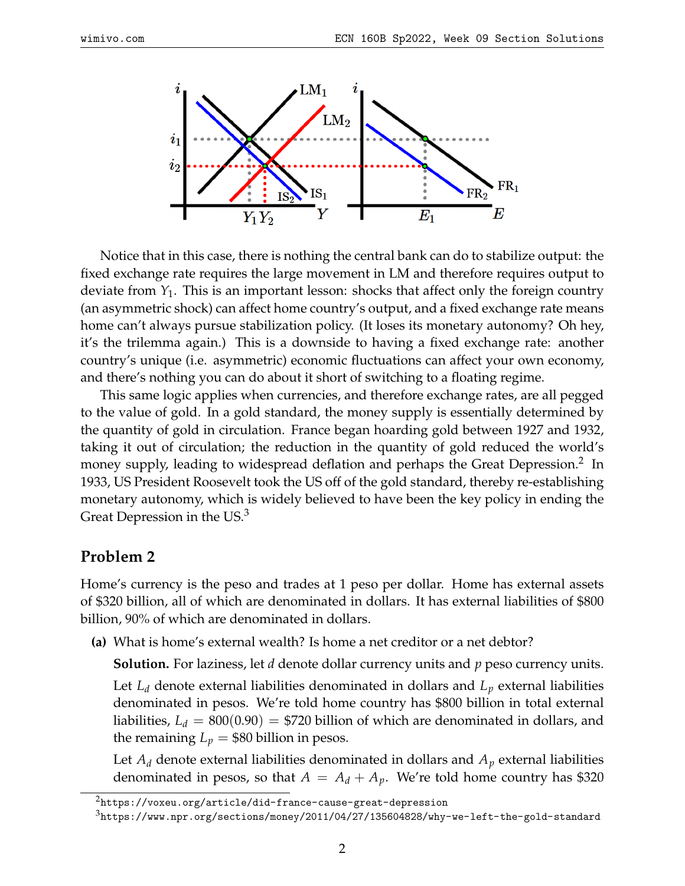

Notice that in this case, there is nothing the central bank can do to stabilize output: the fixed exchange rate requires the large movement in LM and therefore requires output to deviate from *Y*1. This is an important lesson: shocks that affect only the foreign country (an asymmetric shock) can affect home country's output, and a fixed exchange rate means home can't always pursue stabilization policy. (It loses its monetary autonomy? Oh hey, it's the trilemma again.) This is a downside to having a fixed exchange rate: another country's unique (i.e. asymmetric) economic fluctuations can affect your own economy, and there's nothing you can do about it short of switching to a floating regime.

This same logic applies when currencies, and therefore exchange rates, are all pegged to the value of gold. In a gold standard, the money supply is essentially determined by the quantity of gold in circulation. France began hoarding gold between 1927 and 1932, taking it out of circulation; the reduction in the quantity of gold reduced the world's money supply, leading to widespread deflation and perhaps the Great Depression.<sup>[2](#page-1-0)</sup> In 1933, US President Roosevelt took the US off of the gold standard, thereby re-establishing monetary autonomy, which is widely believed to have been the key policy in ending the Great Depression in the US.<sup>[3](#page-1-1)</sup>

## **Problem 2**

Home's currency is the peso and trades at 1 peso per dollar. Home has external assets of \$320 billion, all of which are denominated in dollars. It has external liabilities of \$800 billion, 90% of which are denominated in dollars.

**(a)** What is home's external wealth? Is home a net creditor or a net debtor?

**Solution.** For laziness, let *d* denote dollar currency units and *p* peso currency units.

Let *L<sup>d</sup>* denote external liabilities denominated in dollars and *L<sup>p</sup>* external liabilities denominated in pesos. We're told home country has \$800 billion in total external liabilities,  $L_d = 800(0.90) = $720$  billion of which are denominated in dollars, and the remaining  $L_p = $80$  billion in pesos.

Let  $A_d$  denote external liabilities denominated in dollars and  $A_p$  external liabilities denominated in pesos, so that  $A = A_d + A_p$ . We're told home country has \$320

<span id="page-1-0"></span><sup>&</sup>lt;sup>2</sup><https://voxeu.org/article/did-france-cause-great-depression>

<span id="page-1-1"></span><sup>3</sup><https://www.npr.org/sections/money/2011/04/27/135604828/why-we-left-the-gold-standard>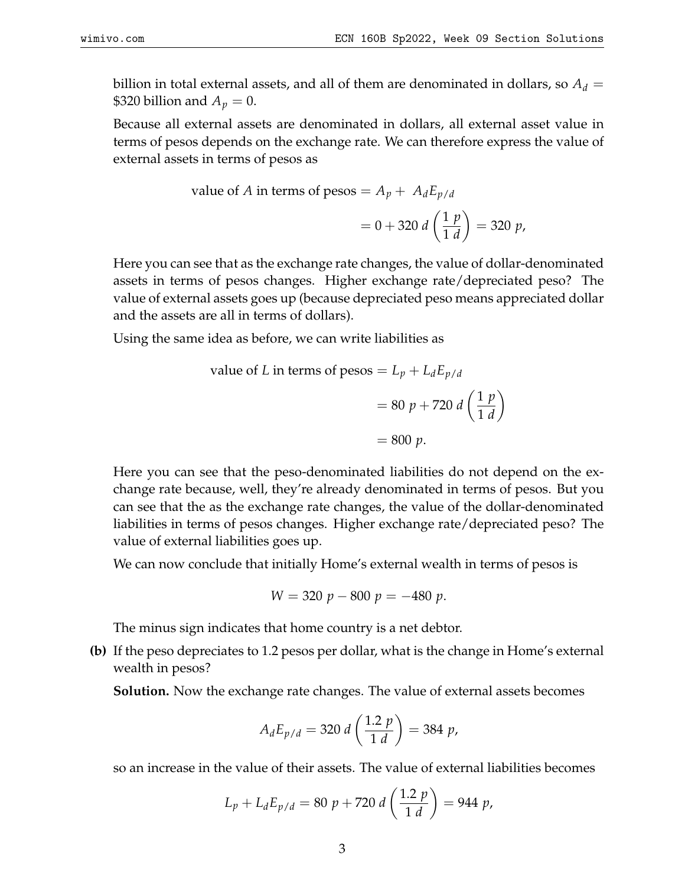billion in total external assets, and all of them are denominated in dollars, so  $A_d =$ \$320 billion and  $A_p = 0$ .

Because all external assets are denominated in dollars, all external asset value in terms of pesos depends on the exchange rate. We can therefore express the value of external assets in terms of pesos as

value of *A* in terms of 
$$
p \text{esos} = A_p + A_d E_{p/d}
$$
  
=  $0 + 320 d \left( \frac{1 p}{1 d} \right) = 320 p$ ,

Here you can see that as the exchange rate changes, the value of dollar-denominated assets in terms of pesos changes. Higher exchange rate/depreciated peso? The value of external assets goes up (because depreciated peso means appreciated dollar and the assets are all in terms of dollars).

Using the same idea as before, we can write liabilities as

value of *L* in terms of 
$$
p \text{esos} = L_p + L_d E_{p/d}
$$
  
= 80  $p + 720 d \left(\frac{1 p}{1 d}\right)$   
= 800 *p*.

Here you can see that the peso-denominated liabilities do not depend on the exchange rate because, well, they're already denominated in terms of pesos. But you can see that the as the exchange rate changes, the value of the dollar-denominated liabilities in terms of pesos changes. Higher exchange rate/depreciated peso? The value of external liabilities goes up.

We can now conclude that initially Home's external wealth in terms of pesos is

$$
W = 320 p - 800 p = -480 p.
$$

The minus sign indicates that home country is a net debtor.

**(b)** If the peso depreciates to 1.2 pesos per dollar, what is the change in Home's external wealth in pesos?

**Solution.** Now the exchange rate changes. The value of external assets becomes

$$
A_d E_{p/d} = 320 d \left(\frac{1.2 p}{1 d}\right) = 384 p,
$$

so an increase in the value of their assets. The value of external liabilities becomes

$$
L_p + L_d E_{p/d} = 80 \ p + 720 \ d \left(\frac{1.2 \ p}{1 \ d}\right) = 944 \ p,
$$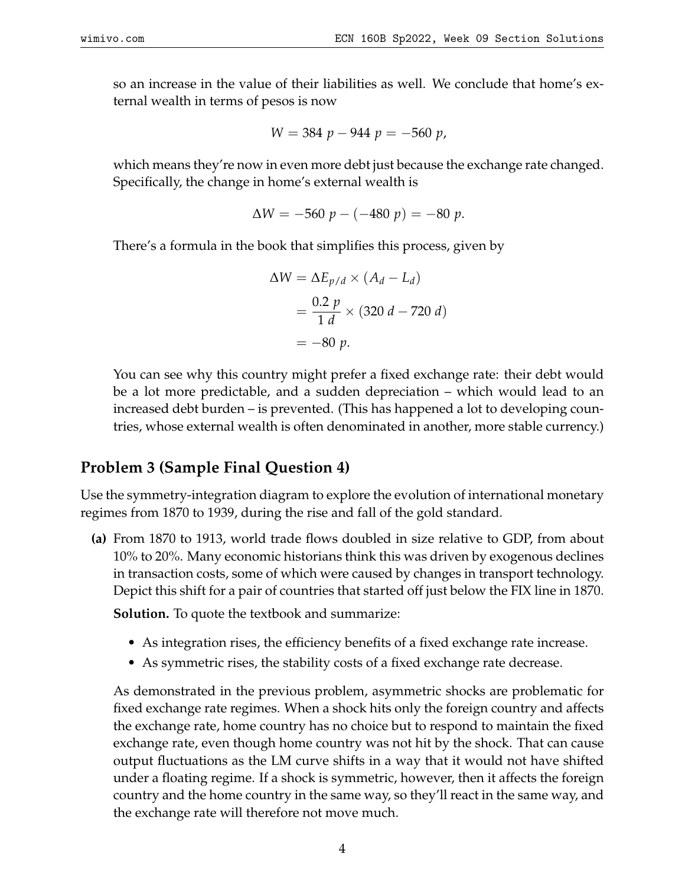so an increase in the value of their liabilities as well. We conclude that home's external wealth in terms of pesos is now

$$
W = 384 \ p - 944 \ p = -560 \ p,
$$

which means they're now in even more debt just because the exchange rate changed. Specifically, the change in home's external wealth is

$$
\Delta W = -560 \ p - (-480 \ p) = -80 \ p.
$$

There's a formula in the book that simplifies this process, given by

$$
\Delta W = \Delta E_{p/d} \times (A_d - L_d)
$$
  
= 
$$
\frac{0.2 p}{1 d} \times (320 d - 720 d)
$$
  
= -80 p.

You can see why this country might prefer a fixed exchange rate: their debt would be a lot more predictable, and a sudden depreciation – which would lead to an increased debt burden – is prevented. (This has happened a lot to developing countries, whose external wealth is often denominated in another, more stable currency.)

## **Problem 3 (Sample Final Question 4)**

Use the symmetry-integration diagram to explore the evolution of international monetary regimes from 1870 to 1939, during the rise and fall of the gold standard.

**(a)** From 1870 to 1913, world trade flows doubled in size relative to GDP, from about 10% to 20%. Many economic historians think this was driven by exogenous declines in transaction costs, some of which were caused by changes in transport technology. Depict this shift for a pair of countries that started off just below the FIX line in 1870.

**Solution.** To quote the textbook and summarize:

- As integration rises, the efficiency benefits of a fixed exchange rate increase.
- As symmetric rises, the stability costs of a fixed exchange rate decrease.

As demonstrated in the previous problem, asymmetric shocks are problematic for fixed exchange rate regimes. When a shock hits only the foreign country and affects the exchange rate, home country has no choice but to respond to maintain the fixed exchange rate, even though home country was not hit by the shock. That can cause output fluctuations as the LM curve shifts in a way that it would not have shifted under a floating regime. If a shock is symmetric, however, then it affects the foreign country and the home country in the same way, so they'll react in the same way, and the exchange rate will therefore not move much.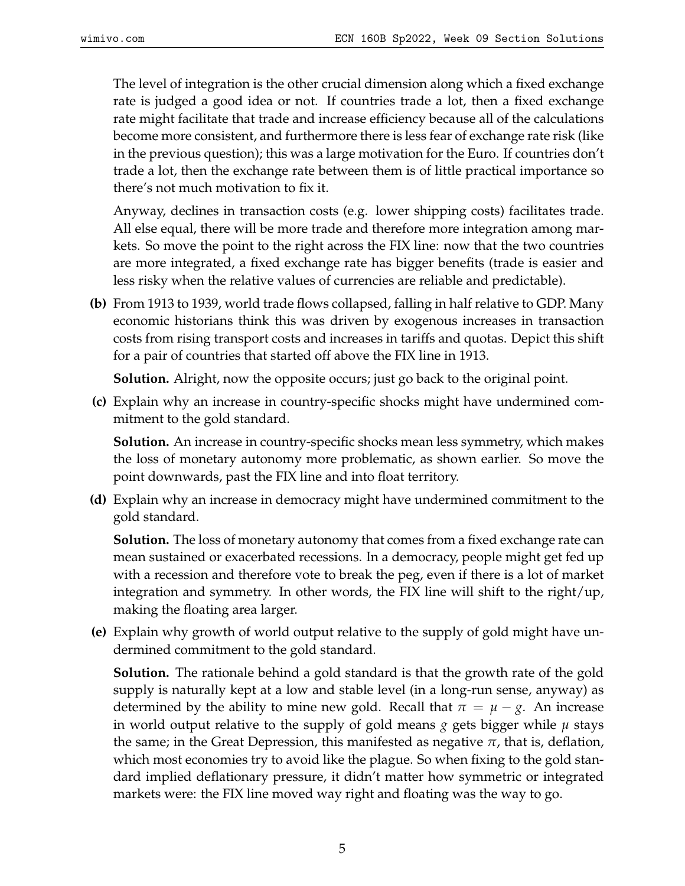The level of integration is the other crucial dimension along which a fixed exchange rate is judged a good idea or not. If countries trade a lot, then a fixed exchange rate might facilitate that trade and increase efficiency because all of the calculations become more consistent, and furthermore there is less fear of exchange rate risk (like in the previous question); this was a large motivation for the Euro. If countries don't trade a lot, then the exchange rate between them is of little practical importance so there's not much motivation to fix it.

Anyway, declines in transaction costs (e.g. lower shipping costs) facilitates trade. All else equal, there will be more trade and therefore more integration among markets. So move the point to the right across the FIX line: now that the two countries are more integrated, a fixed exchange rate has bigger benefits (trade is easier and less risky when the relative values of currencies are reliable and predictable).

**(b)** From 1913 to 1939, world trade flows collapsed, falling in half relative to GDP. Many economic historians think this was driven by exogenous increases in transaction costs from rising transport costs and increases in tariffs and quotas. Depict this shift for a pair of countries that started off above the FIX line in 1913.

**Solution.** Alright, now the opposite occurs; just go back to the original point.

**(c)** Explain why an increase in country-specific shocks might have undermined commitment to the gold standard.

**Solution.** An increase in country-specific shocks mean less symmetry, which makes the loss of monetary autonomy more problematic, as shown earlier. So move the point downwards, past the FIX line and into float territory.

**(d)** Explain why an increase in democracy might have undermined commitment to the gold standard.

**Solution.** The loss of monetary autonomy that comes from a fixed exchange rate can mean sustained or exacerbated recessions. In a democracy, people might get fed up with a recession and therefore vote to break the peg, even if there is a lot of market integration and symmetry. In other words, the FIX line will shift to the right/up, making the floating area larger.

**(e)** Explain why growth of world output relative to the supply of gold might have undermined commitment to the gold standard.

**Solution.** The rationale behind a gold standard is that the growth rate of the gold supply is naturally kept at a low and stable level (in a long-run sense, anyway) as determined by the ability to mine new gold. Recall that  $\pi = \mu - g$ . An increase in world output relative to the supply of gold means *g* gets bigger while *µ* stays the same; in the Great Depression, this manifested as negative *π*, that is, deflation, which most economies try to avoid like the plague. So when fixing to the gold standard implied deflationary pressure, it didn't matter how symmetric or integrated markets were: the FIX line moved way right and floating was the way to go.